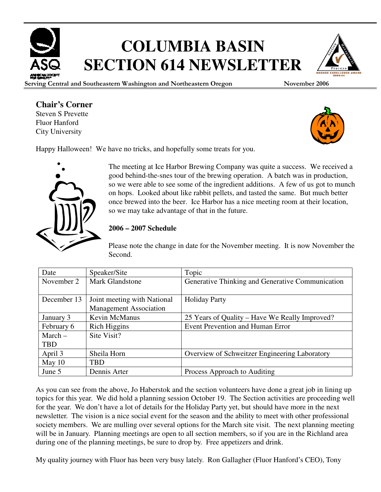

# **COLUMBIA BASIN SECTION 614 NEWSLETTER**

Serving Central and Southeastern Washington and Northeastern Oregon November 2006

## **Chair's Corner**

Steven S Prevette Fluor Hanford City University



Happy Halloween! We have no tricks, and hopefully some treats for you.

The meeting at Ice Harbor Brewing Company was quite a success. We received a good behind-the-snes tour of the brewing operation. A batch was in production, so we were able to see some of the ingredient additions. A few of us got to munch on hops. Looked about like rabbit pellets, and tasted the same. But much better once brewed into the beer. Ice Harbor has a nice meeting room at their location, so we may take advantage of that in the future.

### **2006 – 2007 Schedule**

Please note the change in date for the November meeting. It is now November the Second.

| Date        | Speaker/Site                  | Topic                                                |  |
|-------------|-------------------------------|------------------------------------------------------|--|
| November 2  | <b>Mark Glandstone</b>        | Generative Thinking and Generative Communication     |  |
|             |                               |                                                      |  |
| December 13 | Joint meeting with National   | <b>Holiday Party</b>                                 |  |
|             | <b>Management Association</b> |                                                      |  |
| January 3   | Kevin McManus                 | 25 Years of Quality – Have We Really Improved?       |  |
| February 6  | <b>Rich Higgins</b>           | Event Prevention and Human Error                     |  |
| $March -$   | Site Visit?                   |                                                      |  |
| <b>TBD</b>  |                               |                                                      |  |
| April 3     | Sheila Horn                   | <b>Overview of Schweitzer Engineering Laboratory</b> |  |
| May $10$    | <b>TBD</b>                    |                                                      |  |
| June 5      | Dennis Arter                  | Process Approach to Auditing                         |  |

As you can see from the above, Jo Haberstok and the section volunteers have done a great job in lining up topics for this year. We did hold a planning session October 19. The Section activities are proceeding well for the year. We don't have a lot of details for the Holiday Party yet, but should have more in the next newsletter. The vision is a nice social event for the season and the ability to meet with other professional society members. We are mulling over several options for the March site visit. The next planning meeting will be in January. Planning meetings are open to all section members, so if you are in the Richland area during one of the planning meetings, be sure to drop by. Free appetizers and drink.

My quality journey with Fluor has been very busy lately. Ron Gallagher (Fluor Hanford's CEO), Tony

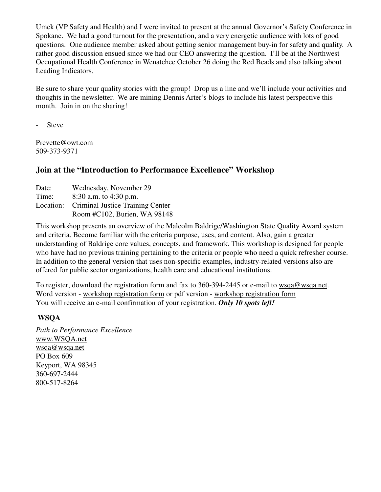Umek (VP Safety and Health) and I were invited to present at the annual Governor's Safety Conference in Spokane. We had a good turnout for the presentation, and a very energetic audience with lots of good questions. One audience member asked about getting senior management buy-in for safety and quality. A rather good discussion ensued since we had our CEO answering the question. I'll be at the Northwest Occupational Health Conference in Wenatchee October 26 doing the Red Beads and also talking about Leading Indicators.

Be sure to share your quality stories with the group! Drop us a line and we'll include your activities and thoughts in the newsletter. We are mining Dennis Arter's blogs to include his latest perspective this month. Join in on the sharing!

- Steve

Prevette@owt.com 509-373-9371

## **Join at the "Introduction to Performance Excellence" Workshop**

| Date: | Wednesday, November 29                     |
|-------|--------------------------------------------|
| Time: | $8:30$ a.m. to $4:30$ p.m.                 |
|       | Location: Criminal Justice Training Center |
|       | Room #C102, Burien, WA 98148               |

This workshop presents an overview of the Malcolm Baldrige/Washington State Quality Award system and criteria. Become familiar with the criteria purpose, uses, and content. Also, gain a greater understanding of Baldrige core values, concepts, and framework. This workshop is designed for people who have had no previous training pertaining to the criteria or people who need a quick refresher course. In addition to the general version that uses non-specific examples, industry-related versions also are offered for public sector organizations, health care and educational institutions.

To register, download the registration form and fax to 360-394-2445 or e-mail to wsqa@wsqa.net. Word version - workshop registration form or pdf version - workshop registration form You will receive an e-mail confirmation of your registration. *Only 10 spots left!* 

### **WSQA**

*Path to Performance Excellence* www.WSQA.net wsqa@wsqa.net PO Box 609 Keyport, WA 98345 360-697-2444 800-517-8264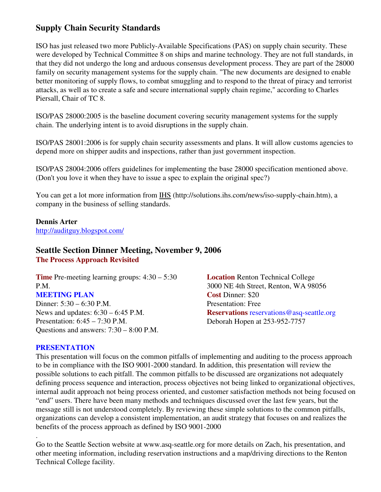## **Supply Chain Security Standards**

ISO has just released two more Publicly-Available Specifications (PAS) on supply chain security. These were developed by Technical Committee 8 on ships and marine technology. They are not full standards, in that they did not undergo the long and arduous consensus development process. They are part of the 28000 family on security management systems for the supply chain. "The new documents are designed to enable better monitoring of supply flows, to combat smuggling and to respond to the threat of piracy and terrorist attacks, as well as to create a safe and secure international supply chain regime," according to Charles Piersall, Chair of TC 8.

ISO/PAS 28000:2005 is the baseline document covering security management systems for the supply chain. The underlying intent is to avoid disruptions in the supply chain.

ISO/PAS 28001:2006 is for supply chain security assessments and plans. It will allow customs agencies to depend more on shipper audits and inspections, rather than just government inspection.

ISO/PAS 28004:2006 offers guidelines for implementing the base 28000 specification mentioned above. (Don't you love it when they have to issue a spec to explain the original spec?)

You can get a lot more information from IHS (http://solutions.ihs.com/news/iso-supply-chain.htm), a company in the business of selling standards.

#### **Dennis Arter**

http://auditguy.blogspot.com/

## **Seattle Section Dinner Meeting, November 9, 2006**

**The Process Approach Revisited** 

**Time** Pre-meeting learning groups: 4:30 – 5:30 P.M. **MEETING PLAN**  Dinner: 5:30 – 6:30 P.M. News and updates: 6:30 – 6:45 P.M. Presentation: 6:45 – 7:30 P.M. Questions and answers: 7:30 – 8:00 P.M.

**Location** Renton Technical College 3000 NE 4th Street, Renton, WA 98056 **Cost** Dinner: \$20 Presentation: Free **Reservations** reservations@asq-seattle.org Deborah Hopen at 253-952-7757

#### **PRESENTATION**

.

This presentation will focus on the common pitfalls of implementing and auditing to the process approach to be in compliance with the ISO 9001-2000 standard. In addition, this presentation will review the possible solutions to each pitfall. The common pitfalls to be discussed are organizations not adequately defining process sequence and interaction, process objectives not being linked to organizational objectives, internal audit approach not being process oriented, and customer satisfaction methods not being focused on "end" users. There have been many methods and techniques discussed over the last few years, but the message still is not understood completely. By reviewing these simple solutions to the common pitfalls, organizations can develop a consistent implementation, an audit strategy that focuses on and realizes the benefits of the process approach as defined by ISO 9001-2000

Go to the Seattle Section website at www.asq-seattle.org for more details on Zach, his presentation, and other meeting information, including reservation instructions and a map/driving directions to the Renton Technical College facility.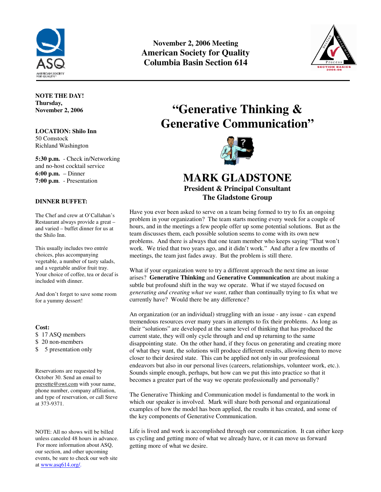

**November 2, 2006 Meeting American Society for Quality Columbia Basin Section 614** 



**NOTE THE DAY! Thursday, November 2, 2006** 

**LOCATION: Shilo Inn**  50 Comstock Richland Washington

**5:30 p.m.** - Check in/Networking and no-host cocktail service **6:00 p.m.** – Dinner **7:00 p.m**. - Presentation

#### **DINNER BUFFET:**

The Chef and crew at O'Callahan's Restaurant always provide a great – and varied – buffet dinner for us at the Shilo Inn.

This usually includes two entrée choices, plus accompanying vegetable, a number of tasty salads, and a vegetable and/or fruit tray. Your choice of coffee, tea or decaf is included with dinner.

And don't forget to save some room for a yummy dessert!

#### **Cost:**

\$ 17 ASQ members

\$ 20 non-members

\$ 5 presentation only

Reservations are requested by October 30. Send an email to prevette@owt.com with your name, phone number, company affiliation, and type of reservation, or call Steve at 373-9371.

NOTE: All no shows will be billed unless canceled 48 hours in advance. For more information about ASQ, our section, and other upcoming events, be sure to check our web site at www.asq614.org/.

## **"Generative Thinking & Generative Communication"**



## **MARK GLADSTONE President & Principal Consultant The Gladstone Group**

Have you ever been asked to serve on a team being formed to try to fix an ongoing problem in your organization? The team starts meeting every week for a couple of hours, and in the meetings a few people offer up some potential solutions. But as the team discusses them, each possible solution seems to come with its own new problems. And there is always that one team member who keeps saying "That won't work. We tried that two years ago, and it didn't work." And after a few months of meetings, the team just fades away. But the problem is still there.

What if your organization were to try a different approach the next time an issue arises? **Generative Thinking** and **Generative Communication** are about making a subtle but profound shift in the way we operate. What if we stayed focused on *generating and creating what we want*, rather than continually trying to fix what we currently have? Would there be any difference?

An organization (or an individual) struggling with an issue - any issue - can expend tremendous resources over many years in attempts to fix their problems. As long as their "solutions" are developed at the same level of thinking that has produced the current state, they will only cycle through and end up returning to the same disappointing state. On the other hand, if they focus on generating and creating more of what they want, the solutions will produce different results, allowing them to move closer to their desired state. This can be applied not only in our professional endeavors but also in our personal lives (careers, relationships, volunteer work, etc.). Sounds simple enough, perhaps, but how can we put this into practice so that it becomes a greater part of the way we operate professionally and personally?

The Generative Thinking and Communication model is fundamental to the work in which our speaker is involved. Mark will share both personal and organizational examples of how the model has been applied, the results it has created, and some of the key components of Generative Communication.

Life is lived and work is accomplished through our communication. It can either keep us cycling and getting more of what we already have, or it can move us forward getting more of what we desire.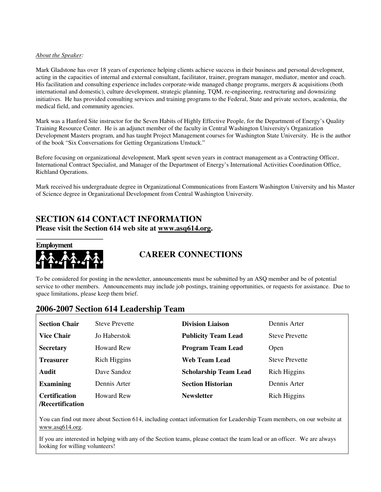#### *About the Speaker:*

Mark Gladstone has over 18 years of experience helping clients achieve success in their business and personal development, acting in the capacities of internal and external consultant, facilitator, trainer, program manager, mediator, mentor and coach. His facilitation and consulting experience includes corporate-wide managed change programs, mergers & acquisitions (both international and domestic), culture development, strategic planning, TQM, re-engineering, restructuring and downsizing initiatives. He has provided consulting services and training programs to the Federal, State and private sectors, academia, the medical field, and community agencies.

Mark was a Hanford Site instructor for the Seven Habits of Highly Effective People, for the Department of Energy's Quality Training Resource Center. He is an adjunct member of the faculty in Central Washington University's Organization Development Masters program, and has taught Project Management courses for Washington State University. He is the author of the book "Six Conversations for Getting Organizations Unstuck."

Before focusing on organizational development, Mark spent seven years in contract management as a Contracting Officer, International Contract Specialist, and Manager of the Department of Energy's International Activities Coordination Office, Richland Operations.

Mark received his undergraduate degree in Organizational Communications from Eastern Washington University and his Master of Science degree in Organizational Development from Central Washington University.

## **SECTION 614 CONTACT INFORMATION**

**Please visit the Section 614 web site at www.asq614.org.** 

**Employment** 



## **CAREER CONNECTIONS**

To be considered for posting in the newsletter, announcements must be submitted by an ASQ member and be of potential service to other members. Announcements may include job postings, training opportunities, or requests for assistance. Due to space limitations, please keep them brief.

### **2006-2007 Section 614 Leadership Team**

| <b>Section Chair</b>                     | <b>Steve Prevette</b> | <b>Division Liaison</b>      | Dennis Arter          |
|------------------------------------------|-----------------------|------------------------------|-----------------------|
| <b>Vice Chair</b>                        | Jo Haberstok          | <b>Publicity Team Lead</b>   | <b>Steve Prevette</b> |
| <b>Secretary</b>                         | Howard Rew            | <b>Program Team Lead</b>     | Open                  |
| <b>Treasurer</b>                         | Rich Higgins          | Web Team Lead                | <b>Steve Prevette</b> |
| Audit                                    | Dave Sandoz           | <b>Scholarship Team Lead</b> | <b>Rich Higgins</b>   |
| <b>Examining</b>                         | Dennis Arter          | <b>Section Historian</b>     | Dennis Arter          |
| <b>Certification</b><br>/Recertification | <b>Howard Rew</b>     | <b>Newsletter</b>            | <b>Rich Higgins</b>   |

You can find out more about Section 614, including contact information for Leadership Team members, on our website at www.asq614.org.

If you are interested in helping with any of the Section teams, please contact the team lead or an officer. We are always looking for willing volunteers!